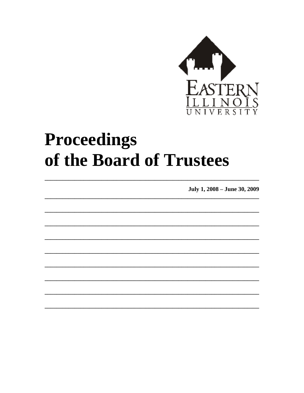

# Proceedings of the Board of Trustees

July 1, 2008 - June 30, 2009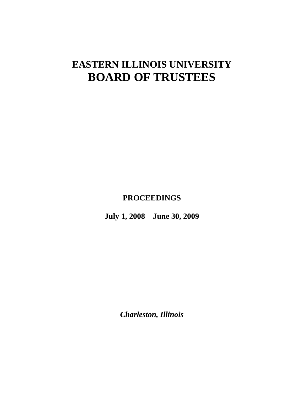# **EASTERN ILLINOIS UNIVERSITY BOARD OF TRUSTEES**

**PROCEEDINGS**

**July 1, 2008 – June 30, 2009**

*Charleston, Illinois*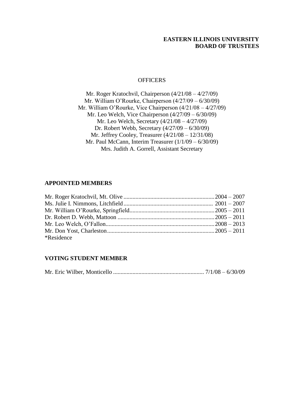## **EASTERN ILLINOIS UNIVERSITY BOARD OF TRUSTEES**

#### **OFFICERS**

Mr. Roger Kratochvil, Chairperson (4/21/08 – 4/27/09) Mr. William O'Rourke, Chairperson (4/27/09 – 6/30/09) Mr. William O'Rourke, Vice Chairperson (4/21/08 – 4/27/09) Mr. Leo Welch, Vice Chairperson (4/27/09 – 6/30/09) Mr. Leo Welch, Secretary (4/21/08 – 4/27/09) Dr. Robert Webb, Secretary (4/27/09 – 6/30/09) Mr. Jeffrey Cooley, Treasurer (4/21/08 – 12/31/08) Mr. Paul McCann, Interim Treasurer (1/1/09 – 6/30/09) Mrs. Judith A. Gorrell, Assistant Secretary

### **APPOINTED MEMBERS**

| *Residence |  |
|------------|--|

#### **VOTING STUDENT MEMBER**

|--|--|--|--|--|